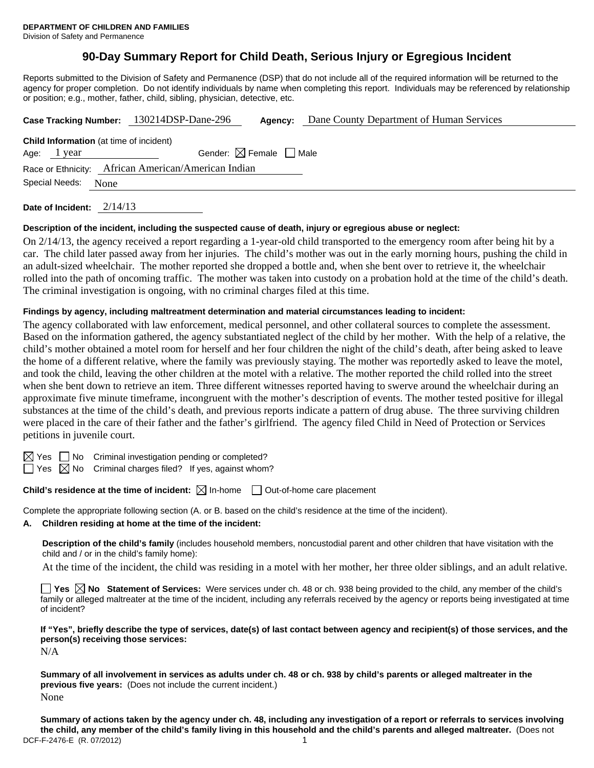# **90-Day Summary Report for Child Death, Serious Injury or Egregious Incident**

Reports submitted to the Division of Safety and Permanence (DSP) that do not include all of the required information will be returned to the agency for proper completion. Do not identify individuals by name when completing this report. Individuals may be referenced by relationship or position; e.g., mother, father, child, sibling, physician, detective, etc.

|                                                     | Dane County Department of Human Services<br>Case Tracking Number: 130214DSP-Dane-296<br>Agency: |  |  |  |
|-----------------------------------------------------|-------------------------------------------------------------------------------------------------|--|--|--|
|                                                     | <b>Child Information</b> (at time of incident)                                                  |  |  |  |
| Age: $1$ year                                       | Gender: $\boxtimes$ Female $\Box$ Male                                                          |  |  |  |
| Race or Ethnicity: African American/American Indian |                                                                                                 |  |  |  |
| Special Needs:<br>None                              |                                                                                                 |  |  |  |
|                                                     |                                                                                                 |  |  |  |

**Date of Incident:** 2/14/13

#### **Description of the incident, including the suspected cause of death, injury or egregious abuse or neglect:**

On 2/14/13, the agency received a report regarding a 1-year-old child transported to the emergency room after being hit by a car. The child later passed away from her injuries. The child's mother was out in the early morning hours, pushing the child in an adult-sized wheelchair. The mother reported she dropped a bottle and, when she bent over to retrieve it, the wheelchair rolled into the path of oncoming traffic. The mother was taken into custody on a probation hold at the time of the child's death. The criminal investigation is ongoing, with no criminal charges filed at this time.

#### **Findings by agency, including maltreatment determination and material circumstances leading to incident:**

The agency collaborated with law enforcement, medical personnel, and other collateral sources to complete the assessment. Based on the information gathered, the agency substantiated neglect of the child by her mother. With the help of a relative, the child's mother obtained a motel room for herself and her four children the night of the child's death, after being asked to leave the home of a different relative, where the family was previously staying. The mother was reportedly asked to leave the motel, and took the child, leaving the other children at the motel with a relative. The mother reported the child rolled into the street when she bent down to retrieve an item. Three different witnesses reported having to swerve around the wheelchair during an approximate five minute timeframe, incongruent with the mother's description of events. The mother tested positive for illegal substances at the time of the child's death, and previous reports indicate a pattern of drug abuse. The three surviving children were placed in the care of their father and the father's girlfriend. The agency filed Child in Need of Protection or Services petitions in juvenile court.

 $\boxtimes$  Yes  $\Box$  No Criminal investigation pending or completed?

 $\Box$  Yes  $\boxtimes$  No Criminal charges filed? If yes, against whom?

## **Child's residence at the time of incident:** ⊠ In-home □ Out-of-home care placement

Complete the appropriate following section (A. or B. based on the child's residence at the time of the incident).

#### **A. Children residing at home at the time of the incident:**

**Description of the child's family** (includes household members, noncustodial parent and other children that have visitation with the child and / or in the child's family home):

At the time of the incident, the child was residing in a motel with her mother, her three older siblings, and an adult relative.

**Yes No Statement of Services:** Were services under ch. 48 or ch. 938 being provided to the child, any member of the child's family or alleged maltreater at the time of the incident, including any referrals received by the agency or reports being investigated at time of incident?

**If "Yes", briefly describe the type of services, date(s) of last contact between agency and recipient(s) of those services, and the person(s) receiving those services:** 

N/A

**Summary of all involvement in services as adults under ch. 48 or ch. 938 by child's parents or alleged maltreater in the previous five years:** (Does not include the current incident.) None

DCF-F-2476-E (R. 07/2012) 1 **Summary of actions taken by the agency under ch. 48, including any investigation of a report or referrals to services involving the child, any member of the child's family living in this household and the child's parents and alleged maltreater.** (Does not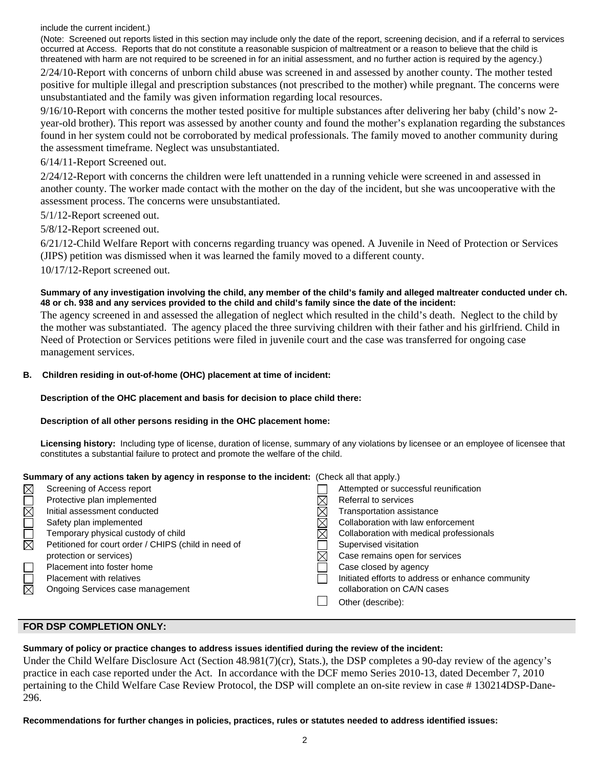include the current incident.)

(Note: Screened out reports listed in this section may include only the date of the report, screening decision, and if a referral to services occurred at Access. Reports that do not constitute a reasonable suspicion of maltreatment or a reason to believe that the child is threatened with harm are not required to be screened in for an initial assessment, and no further action is required by the agency.) 2/24/10-Report with concerns of unborn child abuse was screened in and assessed by another county. The mother tested positive for multiple illegal and prescription substances (not prescribed to the mother) while pregnant. The concerns were unsubstantiated and the family was given information regarding local resources.

9/16/10-Report with concerns the mother tested positive for multiple substances after delivering her baby (child's now 2 year-old brother). This report was assessed by another county and found the mother's explanation regarding the substances found in her system could not be corroborated by medical professionals. The family moved to another community during the assessment timeframe. Neglect was unsubstantiated.

## 6/14/11-Report Screened out.

2/24/12-Report with concerns the children were left unattended in a running vehicle were screened in and assessed in another county. The worker made contact with the mother on the day of the incident, but she was uncooperative with the assessment process. The concerns were unsubstantiated.

- 5/1/12-Report screened out.
- 5/8/12-Report screened out.

6/21/12-Child Welfare Report with concerns regarding truancy was opened. A Juvenile in Need of Protection or Services (JIPS) petition was dismissed when it was learned the family moved to a different county.

10/17/12-Report screened out.

### **Summary of any investigation involving the child, any member of the child's family and alleged maltreater conducted under ch. 48 or ch. 938 and any services provided to the child and child's family since the date of the incident:**

The agency screened in and assessed the allegation of neglect which resulted in the child's death. Neglect to the child by the mother was substantiated. The agency placed the three surviving children with their father and his girlfriend. Child in Need of Protection or Services petitions were filed in juvenile court and the case was transferred for ongoing case management services.

#### **B. Children residing in out-of-home (OHC) placement at time of incident:**

#### **Description of the OHC placement and basis for decision to place child there:**

#### **Description of all other persons residing in the OHC placement home:**

**Licensing history:** Including type of license, duration of license, summary of any violations by licensee or an employee of licensee that constitutes a substantial failure to protect and promote the welfare of the child.

#### **Summary of any actions taken by agency in response to the incident:** (Check all that apply.)

| MOR    | Screening of Access report                           |   | Attempted or successful reunification             |
|--------|------------------------------------------------------|---|---------------------------------------------------|
|        | Protective plan implemented                          |   | Referral to services                              |
|        | Initial assessment conducted                         |   | Transportation assistance                         |
| $\Box$ | Safety plan implemented                              |   | Collaboration with law enforcement                |
|        | Temporary physical custody of child                  | M | Collaboration with medical professionals          |
| 岗      | Petitioned for court order / CHIPS (child in need of |   | Supervised visitation                             |
|        | protection or services)                              |   | Case remains open for services                    |
| $\Box$ | Placement into foster home                           |   | Case closed by agency                             |
| $\Box$ | <b>Placement with relatives</b>                      |   | Initiated efforts to address or enhance community |
|        | Ongoing Services case management                     |   | collaboration on CA/N cases                       |
|        |                                                      |   | Other (describe):                                 |
|        |                                                      |   |                                                   |

#### **FOR DSP COMPLETION ONLY:**

# **Summary of policy or practice changes to address issues identified during the review of the incident:**

Under the Child Welfare Disclosure Act (Section 48.981(7)(cr), Stats.), the DSP completes a 90-day review of the agency's practice in each case reported under the Act. In accordance with the DCF memo Series 2010-13, dated December 7, 2010 pertaining to the Child Welfare Case Review Protocol, the DSP will complete an on-site review in case # 130214DSP-Dane-296.

## **Recommendations for further changes in policies, practices, rules or statutes needed to address identified issues:**